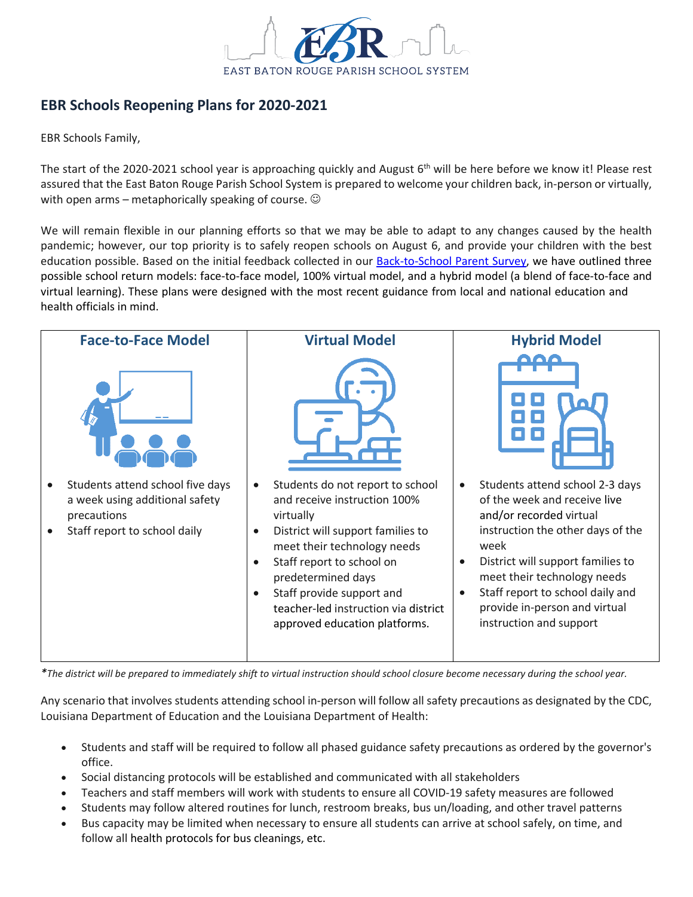

## **EBR Schools Reopening Plans for 2020-2021**

EBR Schools Family,

The start of the 2020-2021 school year is approaching quickly and August  $6<sup>th</sup>$  will be here before we know it! Please rest assured that the East Baton Rouge Parish School System is prepared to welcome your children back, in-person or virtually, with open arms – metaphorically speaking of course.  $\odot$ 

We will remain flexible in our planning efforts so that we may be able to adapt to any changes caused by the health pandemic; however, our top priority is to safely reopen schools on August 6, and provide your children with the best education possible. Based on the initial feedback collected in our **Back-to-School Parent Survey**, we have outlined three possible school return models: face-to-face model, 100% virtual model, and a hybrid model (a blend of face-to-face and virtual learning). These plans were designed with the most recent guidance from local and national education and health officials in mind.



*\*The district will be prepared to immediately shift to virtual instruction should school closure become necessary during the school year.*

Any scenario that involves students attending school in-person will follow all safety precautions as designated by the CDC, Louisiana Department of Education and the Louisiana Department of Health:

- Students and staff will be required to follow all phased guidance safety precautions as ordered by the governor's office.
- Social distancing protocols will be established and communicated with all stakeholders
- Teachers and staff members will work with students to ensure all COVID-19 safety measures are followed
- Students may follow altered routines for lunch, restroom breaks, bus un/loading, and other travel patterns
- Bus capacity may be limited when necessary to ensure all students can arrive at school safely, on time, and follow all health protocols for bus cleanings, etc.